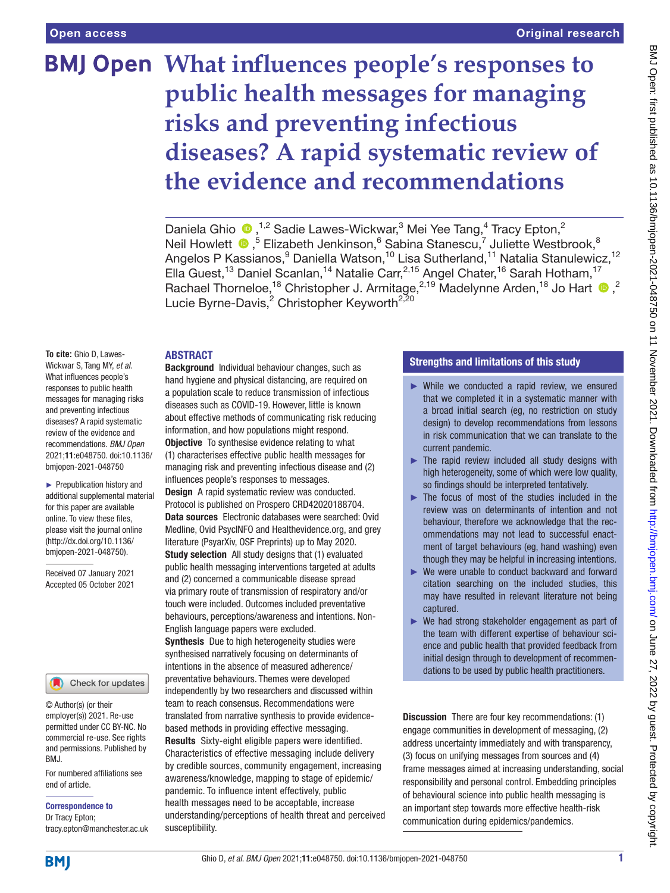# **What influences people's responses to public health messages for managing risks and preventing infectious diseases? A rapid systematic review of the evidence and recommendations**

Daniela Ghio  $\bullet$ ,<sup>1,2</sup> Sadie Lawes-Wickwar,<sup>3</sup> Mei Yee Tang,<sup>4</sup> Tracy Epton,<sup>2</sup> Neil Howlett <sup>®</sup>,<sup>5</sup> Elizabeth Jenkinson,<sup>6</sup> Sabina Stanescu,<sup>7</sup> Juliette Westbrook,<sup>8</sup> Angelos P Kassianos,<sup>9</sup> Daniella Watson,<sup>10</sup> Lisa Sutherland,<sup>11</sup> Natalia Stanulewicz,<sup>12</sup> Ella Guest,<sup>13</sup> Daniel Scanlan,<sup>14</sup> Natalie Carr,<sup>2,15</sup> Angel Chater,<sup>16</sup> Sarah Hotham,<sup>17</sup> Rachael Thorneloe,<sup>18</sup> Christopher J. Armitage,<sup>2,19</sup> Madelynne Arden,<sup>18</sup> Jo Hart <sup>10</sup>,<sup>2</sup> Lucie Byrne-Davis,<sup>2</sup> Christopher Keyworth<sup>2,20</sup>

#### **ARSTRACT**

**To cite:** Ghio D, Lawes-Wickwar S, Tang MY, *et al*. What influences people's responses to public health messages for managing risks and preventing infectious diseases? A rapid systematic review of the evidence and recommendations. *BMJ Open* 2021;11:e048750. doi:10.1136/ bmjopen-2021-048750

► Prepublication history and additional supplemental material for this paper are available online. To view these files, please visit the journal online [\(http://dx.doi.org/10.1136/](http://dx.doi.org/10.1136/bmjopen-2021-048750) [bmjopen-2021-048750](http://dx.doi.org/10.1136/bmjopen-2021-048750)).

Received 07 January 2021 Accepted 05 October 2021

#### Check for updates

© Author(s) (or their employer(s)) 2021. Re-use permitted under CC BY-NC. No commercial re-use. See rights and permissions. Published by BMJ.

For numbered affiliations see end of article.

Correspondence to

Dr Tracy Epton; tracy.epton@manchester.ac.uk

Background Individual behaviour changes, such as hand hygiene and physical distancing, are required on a population scale to reduce transmission of infectious diseases such as COVID-19. However, little is known about effective methods of communicating risk reducing information, and how populations might respond. **Objective** To synthesise evidence relating to what (1) characterises effective public health messages for

managing risk and preventing infectious disease and (2) influences people's responses to messages. Design A rapid systematic review was conducted. Protocol is published on Prospero CRD42020188704.

Data sources Electronic databases were searched: Ovid Medline, Ovid PsycINFO and Healthevidence.org, and grey literature (PsyarXiv, OSF Preprints) up to May 2020. Study selection All study designs that (1) evaluated public health messaging interventions targeted at adults and (2) concerned a communicable disease spread via primary route of transmission of respiratory and/or touch were included. Outcomes included preventative behaviours, perceptions/awareness and intentions. Non-English language papers were excluded.

**Synthesis** Due to high heterogeneity studies were synthesised narratively focusing on determinants of intentions in the absence of measured adherence/ preventative behaviours. Themes were developed independently by two researchers and discussed within team to reach consensus. Recommendations were translated from narrative synthesis to provide evidencebased methods in providing effective messaging. Results Sixty-eight eligible papers were identified. Characteristics of effective messaging include delivery by credible sources, community engagement, increasing awareness/knowledge, mapping to stage of epidemic/ pandemic. To influence intent effectively, public health messages need to be acceptable, increase understanding/perceptions of health threat and perceived susceptibility.

# Strengths and limitations of this study

- ► While we conducted a rapid review, we ensured that we completed it in a systematic manner with a broad initial search (eg, no restriction on study design) to develop recommendations from lessons in risk communication that we can translate to the current pandemic.
- $\blacktriangleright$  The rapid review included all study designs with high heterogeneity, some of which were low quality, so findings should be interpreted tentatively.
- $\blacktriangleright$  The focus of most of the studies included in the review was on determinants of intention and not behaviour, therefore we acknowledge that the recommendations may not lead to successful enactment of target behaviours (eg, hand washing) even though they may be helpful in increasing intentions.
- ► We were unable to conduct backward and forward citation searching on the included studies, this may have resulted in relevant literature not being captured.
- ► We had strong stakeholder engagement as part of the team with different expertise of behaviour science and public health that provided feedback from initial design through to development of recommendations to be used by public health practitioners.

Discussion There are four key recommendations: (1) engage communities in development of messaging, (2) address uncertainty immediately and with transparency, (3) focus on unifying messages from sources and (4) frame messages aimed at increasing understanding, social responsibility and personal control. Embedding principles of behavioural science into public health messaging is an important step towards more effective health-risk communication during epidemics/pandemics.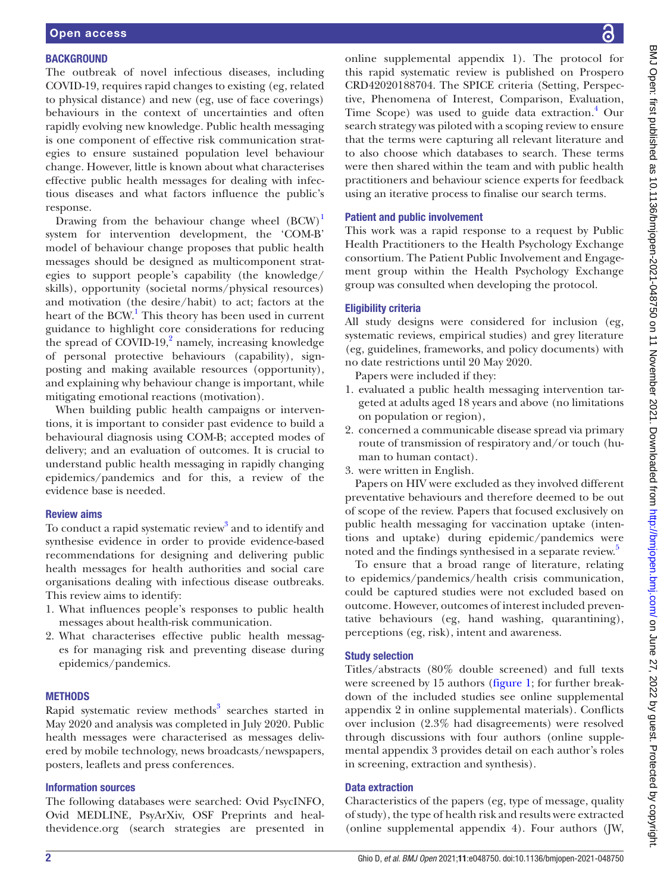#### **BACKGROUND**

The outbreak of novel infectious diseases, including COVID-19, requires rapid changes to existing (eg, related to physical distance) and new (eg, use of face coverings) behaviours in the context of uncertainties and often rapidly evolving new knowledge. Public health messaging is one component of effective risk communication strategies to ensure sustained population level behaviour change. However, little is known about what characterises effective public health messages for dealing with infectious diseases and what factors influence the public's response.

Drawing from the behaviour change wheel  $(BCW)^1$  $(BCW)^1$ system for intervention development, the 'COM-B' model of behaviour change proposes that public health messages should be designed as multicomponent strategies to support people's capability (the knowledge/ skills), opportunity (societal norms/physical resources) and motivation (the desire/habit) to act; factors at the heart of the BCW.<sup>[1](#page-9-0)</sup> This theory has been used in current guidance to highlight core considerations for reducing the spread of  $\text{COVID-19}$ , amely, increasing knowledge of personal protective behaviours (capability), signposting and making available resources (opportunity), and explaining why behaviour change is important, while mitigating emotional reactions (motivation).

When building public health campaigns or interventions, it is important to consider past evidence to build a behavioural diagnosis using COM-B; accepted modes of delivery; and an evaluation of outcomes. It is crucial to understand public health messaging in rapidly changing epidemics/pandemics and for this, a review of the evidence base is needed.

#### Review aims

To conduct a rapid systematic review<sup>3</sup> and to identify and synthesise evidence in order to provide evidence-based recommendations for designing and delivering public health messages for health authorities and social care organisations dealing with infectious disease outbreaks. This review aims to identify:

- 1. What influences people's responses to public health messages about health-risk communication.
- 2. What characterises effective public health messages for managing risk and preventing disease during epidemics/pandemics.

#### **METHODS**

Rapid systematic review methods<sup>[3](#page-9-2)</sup> searches started in May 2020 and analysis was completed in July 2020. Public health messages were characterised as messages delivered by mobile technology, news broadcasts/newspapers, posters, leaflets and press conferences.

#### Information sources

The following databases were searched: Ovid PsycINFO, Ovid MEDLINE, PsyArXiv, OSF Preprints and healthevidence.org (search strategies are presented in [online supplemental appendix 1](https://dx.doi.org/10.1136/bmjopen-2021-048750)). The protocol for this rapid systematic review is published on Prospero CRD42020188704. The SPICE criteria (Setting, Perspective, Phenomena of Interest, Comparison, Evaluation, Time Scope) was used to guide data extraction.<sup>[4](#page-9-3)</sup> Our search strategy was piloted with a scoping review to ensure that the terms were capturing all relevant literature and to also choose which databases to search. These terms were then shared within the team and with public health practitioners and behaviour science experts for feedback using an iterative process to finalise our search terms.

# Patient and public involvement

This work was a rapid response to a request by Public Health Practitioners to the Health Psychology Exchange consortium. The Patient Public Involvement and Engagement group within the Health Psychology Exchange group was consulted when developing the protocol.

# Eligibility criteria

All study designs were considered for inclusion (eg, systematic reviews, empirical studies) and grey literature (eg, guidelines, frameworks, and policy documents) with no date restrictions until 20 May 2020.

Papers were included if they:

- 1. evaluated a public health messaging intervention targeted at adults aged 18 years and above (no limitations on population or region),
- 2. concerned a communicable disease spread via primary route of transmission of respiratory and/or touch (human to human contact).
- 3. were written in English.

Papers on HIV were excluded as they involved different preventative behaviours and therefore deemed to be out of scope of the review. Papers that focused exclusively on public health messaging for vaccination uptake (intentions and uptake) during epidemic/pandemics were noted and the findings synthesised in a separate review.<sup>[5](#page-9-4)</sup>

To ensure that a broad range of literature, relating to epidemics/pandemics/health crisis communication, could be captured studies were not excluded based on outcome. However, outcomes of interest included preventative behaviours (eg, hand washing, quarantining), perceptions (eg, risk), intent and awareness.

# Study selection

Titles/abstracts (80% double screened) and full texts were screened by 15 authors [\(figure](#page-2-0) 1; for further breakdown of the included studies see [online supplemental](https://dx.doi.org/10.1136/bmjopen-2021-048750)  [appendix 2](https://dx.doi.org/10.1136/bmjopen-2021-048750) in [online supplemental materials\)](https://dx.doi.org/10.1136/bmjopen-2021-048750). Conflicts over inclusion (2.3% had disagreements) were resolved through discussions with four authors [\(online supple](https://dx.doi.org/10.1136/bmjopen-2021-048750)[mental appendix 3](https://dx.doi.org/10.1136/bmjopen-2021-048750) provides detail on each author's roles in screening, extraction and synthesis).

#### Data extraction

Characteristics of the papers (eg, type of message, quality of study), the type of health risk and results were extracted [\(online supplemental appendix 4](https://dx.doi.org/10.1136/bmjopen-2021-048750)). Four authors (JW,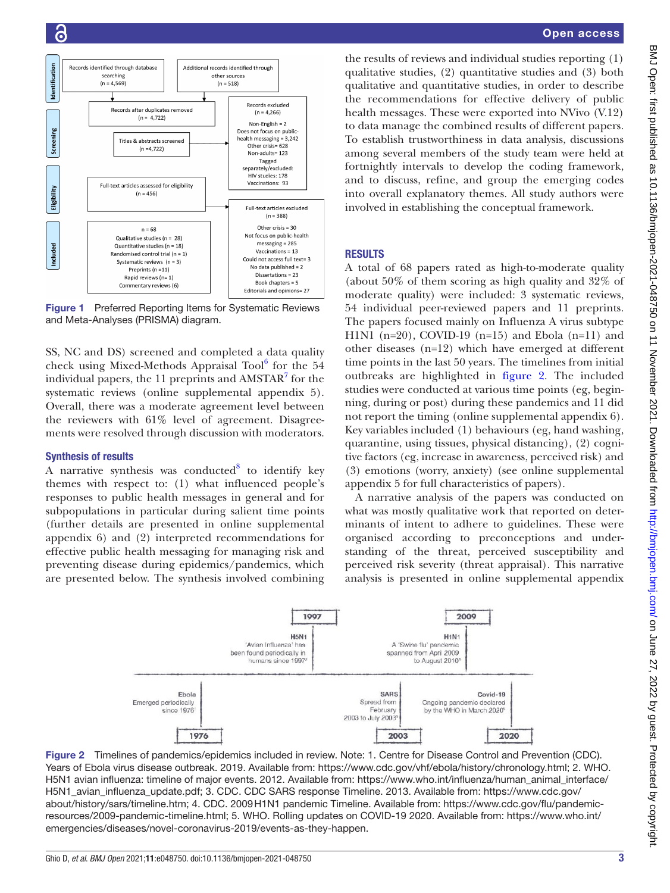

<span id="page-2-0"></span>Figure 1 Preferred Reporting Items for Systematic Reviews and Meta-Analyses (PRISMA) diagram.

SS, NC and DS) screened and completed a data quality check using Mixed-Methods Appraisal Tool<sup>[6](#page-9-5)</sup> for the 54 individual papers, the  $11$  preprints and AMSTAR $^7$  $^7$  for the systematic reviews ([online supplemental appendix 5](https://dx.doi.org/10.1136/bmjopen-2021-048750)). Overall, there was a moderate agreement level between the reviewers with  $61\%$  level of agreement. Disagreements were resolved through discussion with moderators.

#### Synthesis of results

A narrative synthesis was conducted $8$  to identify key themes with respect to: (1) what influenced people's responses to public health messages in general and for subpopulations in particular during salient time points (further details are presented in [online supplemental](https://dx.doi.org/10.1136/bmjopen-2021-048750) [appendix 6](https://dx.doi.org/10.1136/bmjopen-2021-048750)) and (2) interpreted recommendations for effective public health messaging for managing risk and preventing disease during epidemics/pandemics, which are presented below. The synthesis involved combining

the results of reviews and individual studies reporting (1) qualitative studies, (2) quantitative studies and (3) both qualitative and quantitative studies, in order to describe the recommendations for effective delivery of public health messages. These were exported into NVivo (V.12) to data manage the combined results of different papers. To establish trustworthiness in data analysis, discussions among several members of the study team were held at fortnightly intervals to develop the coding framework, and to discuss, refine, and group the emerging codes into overall explanatory themes. All study authors were involved in establishing the conceptual framework.

# **RESULTS**

A total of 68 papers rated as high-to-moderate quality (about 50% of them scoring as high quality and 32% of moderate quality) were included: 3 systematic reviews, 54 individual peer-reviewed papers and 11 preprints. The papers focused mainly on Influenza A virus subtype H1N1 (n=20), COVID-19 (n=15) and Ebola (n=11) and other diseases (n=12) which have emerged at different time points in the last 50 years. The timelines from initial outbreaks are highlighted in [figure](#page-2-1) 2. The included studies were conducted at various time points (eg, beginning, during or post) during these pandemics and 11 did not report the timing [\(online supplemental appendix 6\)](https://dx.doi.org/10.1136/bmjopen-2021-048750). Key variables included (1) behaviours (eg, hand washing, quarantine, using tissues, physical distancing), (2) cognitive factors (eg, increase in awareness, perceived risk) and (3) emotions (worry, anxiety) (see [online supplemental](https://dx.doi.org/10.1136/bmjopen-2021-048750)  [appendix 5](https://dx.doi.org/10.1136/bmjopen-2021-048750) for full characteristics of papers).

A narrative analysis of the papers was conducted on what was mostly qualitative work that reported on determinants of intent to adhere to guidelines. These were organised according to preconceptions and understanding of the threat, perceived susceptibility and perceived risk severity (threat appraisal). This narrative analysis is presented in [online supplemental appendix](https://dx.doi.org/10.1136/bmjopen-2021-048750) 

<span id="page-2-1"></span>

Figure 2 Timelines of pandemics/epidemics included in review. Note: 1. Centre for Disease Control and Prevention (CDC). Years of Ebola virus disease outbreak. 2019. Available from: <https://www.cdc.gov/vhf/ebola/history/chronology.html>; 2. WHO. H5N1 avian influenza: timeline of major events. 2012. Available from: [https://www.who.int/influenza/human\\_animal\\_interface/](https://www.who.int/influenza/human_animal_interface/H5N1_avian_influenza_update.pdf) [H5N1\\_avian\\_influenza\\_update.pdf;](https://www.who.int/influenza/human_animal_interface/H5N1_avian_influenza_update.pdf) 3. CDC. CDC SARS response Timeline. 2013. Available from: [https://www.cdc.gov/](https://www.cdc.gov/about/history/sars/timeline.htm) [about/history/sars/timeline.htm;](https://www.cdc.gov/about/history/sars/timeline.htm) 4. CDC. 2009H1N1 pandemic Timeline. Available from: [https://www.cdc.gov/flu/pandemic](https://www.cdc.gov/flu/pandemic-resources/2009-pandemic-timeline.html)[resources/2009-pandemic-timeline.html;](https://www.cdc.gov/flu/pandemic-resources/2009-pandemic-timeline.html) 5. WHO. Rolling updates on COVID-19 2020. Available from: [https://www.who.int/](https://www.who.int/emergencies/diseases/novel-coronavirus-2019/events-as-they-happen) [emergencies/diseases/novel-coronavirus-2019/events-as-they-happen](https://www.who.int/emergencies/diseases/novel-coronavirus-2019/events-as-they-happen).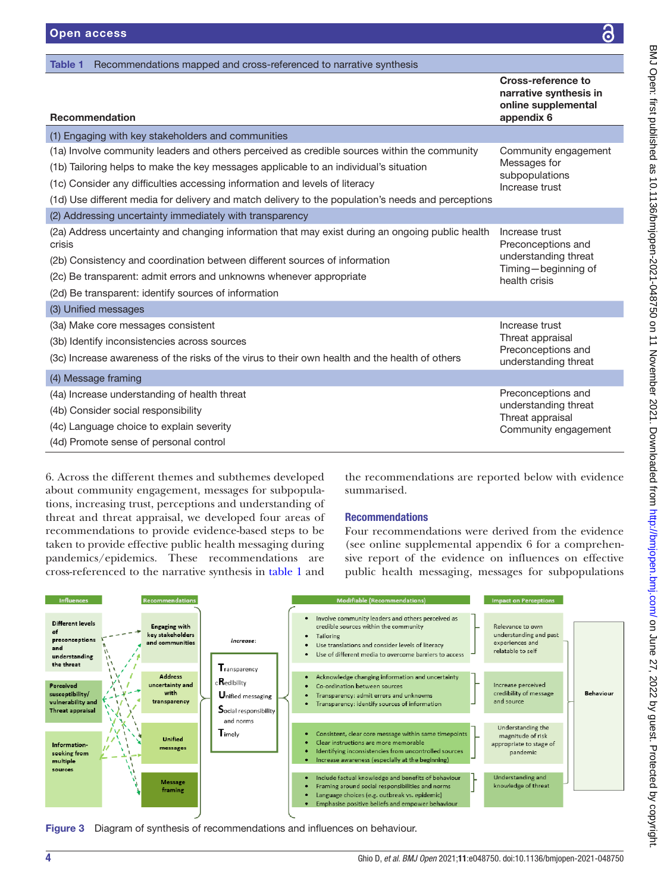<span id="page-3-0"></span>

| Recommendations mapped and cross-referenced to narrative synthesis<br>Table 1                              |                                                                                   |
|------------------------------------------------------------------------------------------------------------|-----------------------------------------------------------------------------------|
| <b>Recommendation</b>                                                                                      | Cross-reference to<br>narrative synthesis in<br>online supplemental<br>appendix 6 |
| (1) Engaging with key stakeholders and communities                                                         |                                                                                   |
| (1a) Involve community leaders and others perceived as credible sources within the community               | Community engagement<br>Messages for<br>subpopulations<br>Increase trust          |
| (1b) Tailoring helps to make the key messages applicable to an individual's situation                      |                                                                                   |
| (1c) Consider any difficulties accessing information and levels of literacy                                |                                                                                   |
| (1d) Use different media for delivery and match delivery to the population's needs and perceptions         |                                                                                   |
| (2) Addressing uncertainty immediately with transparency                                                   |                                                                                   |
| (2a) Address uncertainty and changing information that may exist during an ongoing public health<br>crisis | Increase trust<br>Preconceptions and                                              |
| (2b) Consistency and coordination between different sources of information                                 | understanding threat<br>Timing-beginning of                                       |
| (2c) Be transparent: admit errors and unknowns whenever appropriate                                        | health crisis                                                                     |
| (2d) Be transparent: identify sources of information                                                       |                                                                                   |
| (3) Unified messages                                                                                       |                                                                                   |
| (3a) Make core messages consistent                                                                         | Increase trust                                                                    |
| (3b) Identify inconsistencies across sources                                                               | Threat appraisal<br>Preconceptions and                                            |
| (3c) Increase awareness of the risks of the virus to their own health and the health of others             | understanding threat                                                              |
| (4) Message framing                                                                                        |                                                                                   |
| (4a) Increase understanding of health threat                                                               | Preconceptions and                                                                |
| (4b) Consider social responsibility                                                                        | understanding threat<br>Threat appraisal                                          |
| (4c) Language choice to explain severity                                                                   | Community engagement                                                              |
| (4d) Promote sense of personal control                                                                     |                                                                                   |

[6.](https://dx.doi.org/10.1136/bmjopen-2021-048750) Across the different themes and subthemes developed about community engagement, messages for subpopulations, increasing trust, perceptions and understanding of threat and threat appraisal, we developed four areas of recommendations to provide evidence-based steps to be taken to provide effective public health messaging during pandemics/epidemics. These recommendations are cross-referenced to the narrative synthesis in [table](#page-3-0) 1 and

the recommendations are reported below with evidence summarised.

# Recommendations

Four recommendations were derived from the evidence (see [online supplemental appendix 6](https://dx.doi.org/10.1136/bmjopen-2021-048750) for a comprehensive report of the evidence on influences on effective public health messaging, messages for subpopulations



<span id="page-3-1"></span>Figure 3 Diagram of synthesis of recommendations and influences on behaviour.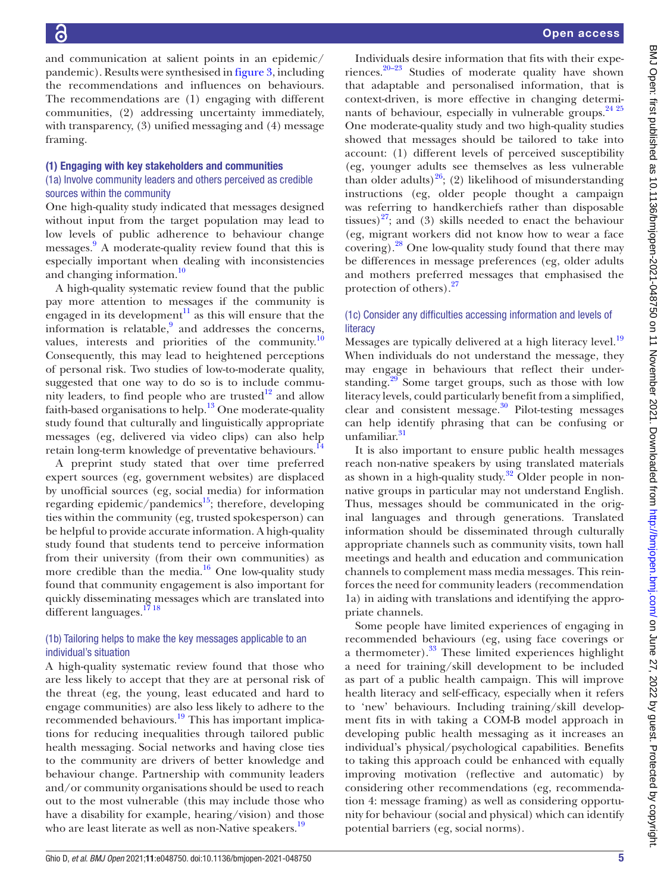and communication at salient points in an epidemic/ pandemic). Results were synthesised in [figure](#page-3-1) 3, including the recommendations and influences on behaviours. The recommendations are (1) engaging with different communities, (2) addressing uncertainty immediately, with transparency, (3) unified messaging and (4) message framing.

#### (1) Engaging with key stakeholders and communities

#### (1a) Involve community leaders and others perceived as credible sources within the community

One high-quality study indicated that messages designed without input from the target population may lead to low levels of public adherence to behaviour change messages.<sup>[9](#page-9-8)</sup> A moderate-quality review found that this is especially important when dealing with inconsistencies and changing information.<sup>[10](#page-9-9)</sup>

A high-quality systematic review found that the public pay more attention to messages if the community is engaged in its development<sup>[11](#page-9-10)</sup> as this will ensure that the information is relatable,<sup>[9](#page-9-8)</sup> and addresses the concerns, values, interests and priorities of the community. $\frac{10}{10}$ Consequently, this may lead to heightened perceptions of personal risk. Two studies of low-to-moderate quality, suggested that one way to do so is to include community leaders, to find people who are trusted $12$  and allow faith-based organisations to help.<sup>13</sup> One moderate-quality study found that culturally and linguistically appropriate messages (eg, delivered via video clips) can also help retain long-term knowledge of preventative behaviours.<sup>14</sup>

A preprint study stated that over time preferred expert sources (eg, government websites) are displaced by unofficial sources (eg, social media) for information regarding epidemic/pandemics $15$ ; therefore, developing ties within the community (eg, trusted spokesperson) can be helpful to provide accurate information. A high-quality study found that students tend to perceive information from their university (from their own communities) as more credible than the media. $16$  One low-quality study found that community engagement is also important for quickly disseminating messages which are translated into different languages.<sup>17</sup><sup>18</sup>

## (1b) Tailoring helps to make the key messages applicable to an individual's situation

A high-quality systematic review found that those who are less likely to accept that they are at personal risk of the threat (eg, the young, least educated and hard to engage communities) are also less likely to adhere to the recommended behaviours.<sup>19</sup> This has important implications for reducing inequalities through tailored public health messaging. Social networks and having close ties to the community are drivers of better knowledge and behaviour change. Partnership with community leaders and/or community organisations should be used to reach out to the most vulnerable (this may include those who have a disability for example, hearing/vision) and those who are least literate as well as non-Native speakers.<sup>19</sup>

Individuals desire information that fits with their experiences. $20-23$  Studies of moderate quality have shown that adaptable and personalised information, that is context-driven, is more effective in changing determi-nants of behaviour, especially in vulnerable groups.<sup>[24 25](#page-9-19)</sup> One moderate-quality study and two high-quality studies showed that messages should be tailored to take into account: (1) different levels of perceived susceptibility (eg, younger adults see themselves as less vulnerable than older adults)<sup>26</sup>; (2) likelihood of misunderstanding instructions (eg, older people thought a campaign was referring to handkerchiefs rather than disposable tissues) $27$ ; and (3) skills needed to enact the behaviour (eg, migrant workers did not know how to wear a face covering). $^{28}$  One low-quality study found that there may be differences in message preferences (eg, older adults and mothers preferred messages that emphasised the protection of others).<sup>27</sup>

#### (1c) Consider any difficulties accessing information and levels of **literacy**

Messages are typically delivered at a high literacy level.<sup>[19](#page-9-17)</sup> When individuals do not understand the message, they may engage in behaviours that reflect their understanding.<sup>29</sup> Some target groups, such as those with low literacy levels, could particularly benefit from a simplified, clear and consistent message.<sup>30</sup> Pilot-testing messages can help identify phrasing that can be confusing or unfamiliar. [31](#page-9-25)

It is also important to ensure public health messages reach non-native speakers by using translated materials as shown in a high-quality study.<sup>32</sup> Older people in nonnative groups in particular may not understand English. Thus, messages should be communicated in the original languages and through generations. Translated information should be disseminated through culturally appropriate channels such as community visits, town hall meetings and health and education and communication channels to complement mass media messages. This reinforces the need for community leaders (recommendation 1a) in aiding with translations and identifying the appropriate channels.

Some people have limited experiences of engaging in recommended behaviours (eg, using face coverings or a thermometer).<sup>33</sup> These limited experiences highlight a need for training/skill development to be included as part of a public health campaign. This will improve health literacy and self-efficacy, especially when it refers to 'new' behaviours. Including training/skill development fits in with taking a COM-B model approach in developing public health messaging as it increases an individual's physical/psychological capabilities. Benefits to taking this approach could be enhanced with equally improving motivation (reflective and automatic) by considering other recommendations (eg, recommendation 4: message framing) as well as considering opportunity for behaviour (social and physical) which can identify potential barriers (eg, social norms).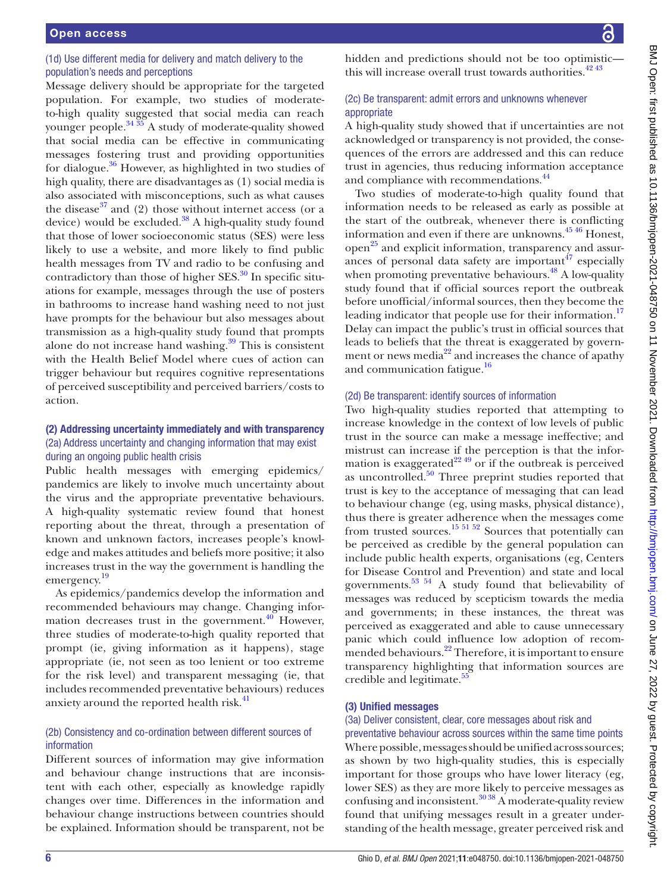# (1d) Use different media for delivery and match delivery to the population's needs and perceptions

Message delivery should be appropriate for the targeted population. For example, two studies of moderateto-high quality suggested that social media can reach younger people. $34\frac{35}{26}$  A study of moderate-quality showed that social media can be effective in communicating messages fostering trust and providing opportunities for dialogue. $36$  However, as highlighted in two studies of high quality, there are disadvantages as (1) social media is also associated with misconceptions, such as what causes the disease<sup>[37](#page-9-30)</sup> and (2) those without internet access (or a device) would be excluded. $38$  A high-quality study found that those of lower socioeconomic status (SES) were less likely to use a website, and more likely to find public health messages from TV and radio to be confusing and contradictory than those of higher  $SES$ <sup>30</sup> In specific situations for example, messages through the use of posters in bathrooms to increase hand washing need to not just have prompts for the behaviour but also messages about transmission as a high-quality study found that prompts alone do not increase hand washing. $39$  This is consistent with the Health Belief Model where cues of action can trigger behaviour but requires cognitive representations of perceived susceptibility and perceived barriers/costs to action.

# (2) Addressing uncertainty immediately and with transparency (2a) Address uncertainty and changing information that may exist during an ongoing public health crisis

Public health messages with emerging epidemics/ pandemics are likely to involve much uncertainty about the virus and the appropriate preventative behaviours. A high-quality systematic review found that honest reporting about the threat, through a presentation of known and unknown factors, increases people's knowledge and makes attitudes and beliefs more positive; it also increases trust in the way the government is handling the emergency. [19](#page-9-17)

As epidemics/pandemics develop the information and recommended behaviours may change. Changing information decreases trust in the government. $40$  However, three studies of moderate-to-high quality reported that prompt (ie, giving information as it happens), stage appropriate (ie, not seen as too lenient or too extreme for the risk level) and transparent messaging (ie, that includes recommended preventative behaviours) reduces anxiety around the reported health risk.<sup>41</sup>

# (2b) Consistency and co-ordination between different sources of information

Different sources of information may give information and behaviour change instructions that are inconsistent with each other, especially as knowledge rapidly changes over time. Differences in the information and behaviour change instructions between countries should be explained. Information should be transparent, not be

hidden and predictions should not be too optimistic this will increase overall trust towards authorities.  $42\frac{43}{13}$ 

# (2c) Be transparent: admit errors and unknowns whenever appropriate

A high-quality study showed that if uncertainties are not acknowledged or transparency is not provided, the consequences of the errors are addressed and this can reduce trust in agencies, thus reducing information acceptance and compliance with recommendations.<sup>44</sup>

Two studies of moderate-to-high quality found that information needs to be released as early as possible at the start of the outbreak, whenever there is conflicting information and even if there are unknowns.<sup>4546</sup> Honest, open<sup>[25](#page-9-38)</sup> and explicit information, transparency and assurances of personal data safety are important  $47$  especially when promoting preventative behaviours. $^{48}$  A low-quality study found that if official sources report the outbreak before unofficial/informal sources, then they become the leading indicator that people use for their information.<sup>[17](#page-9-16)</sup> Delay can impact the public's trust in official sources that leads to beliefs that the threat is exaggerated by government or news media $^{22}$  $^{22}$  $^{22}$  and increases the chance of apathy and communication fatigue.<sup>16</sup>

# (2d) Be transparent: identify sources of information

Two high-quality studies reported that attempting to increase knowledge in the context of low levels of public trust in the source can make a message ineffective; and mistrust can increase if the perception is that the information is exaggerated<sup>22 49</sup> or if the outbreak is perceived as uncontrolled. $50$  Three preprint studies reported that trust is key to the acceptance of messaging that can lead to behaviour change (eg, using masks, physical distance), thus there is greater adherence when the messages come from trusted sources.<sup>15 51 52</sup> Sources that potentially can be perceived as credible by the general population can include public health experts, organisations (eg, Centers for Disease Control and Prevention) and state and local governments. $53 \times 54$  A study found that believability of messages was reduced by scepticism towards the media and governments; in these instances, the threat was perceived as exaggerated and able to cause unnecessary panic which could influence low adoption of recommended behaviours.<sup>22</sup> Therefore, it is important to ensure transparency highlighting that information sources are credible and legitimate.<sup>55</sup>

# (3) Unified messages

# (3a) Deliver consistent, clear, core messages about risk and

preventative behaviour across sources within the same time points Where possible, messages should be unified across sources; as shown by two high-quality studies, this is especially important for those groups who have lower literacy (eg, lower SES) as they are more likely to perceive messages as confusing and inconsistent. $30\,38\,$  A moderate-quality review found that unifying messages result in a greater understanding of the health message, greater perceived risk and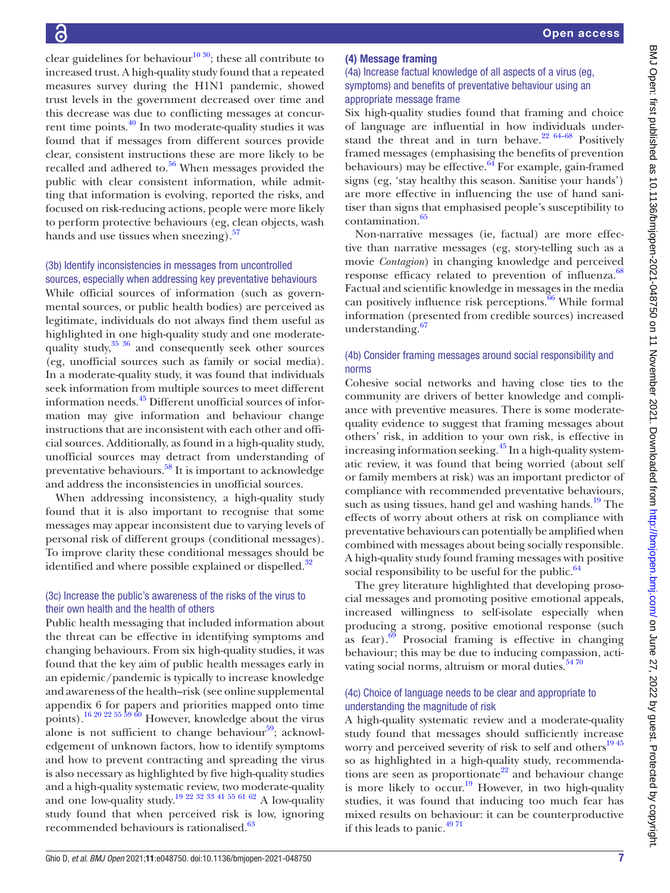clear guidelines for behaviour<sup>10 30</sup>; these all contribute to increased trust. A high-quality study found that a repeated measures survey during the H1N1 pandemic, showed trust levels in the government decreased over time and this decrease was due to conflicting messages at concurrent time points[.40](#page-9-33) In two moderate-quality studies it was found that if messages from different sources provide clear, consistent instructions these are more likely to be recalled and adhered to. $56$  When messages provided the public with clear consistent information, while admitting that information is evolving, reported the risks, and focused on risk-reducing actions, people were more likely to perform protective behaviours (eg, clean objects, wash hands and use tissues when sneezing).<sup>57</sup>

# (3b) Identify inconsistencies in messages from uncontrolled sources, especially when addressing key preventative behaviours

While official sources of information (such as governmental sources, or public health bodies) are perceived as legitimate, individuals do not always find them useful as highlighted in one high-quality study and one moderatequality study,<sup>35 36</sup> and consequently seek other sources (eg, unofficial sources such as family or social media). In a moderate-quality study, it was found that individuals seek information from multiple sources to meet different information needs.[45](#page-9-37) Different unofficial sources of information may give information and behaviour change instructions that are inconsistent with each other and official sources. Additionally, as found in a high-quality study, unofficial sources may detract from understanding of preventative behaviours.<sup>58</sup> It is important to acknowledge and address the inconsistencies in unofficial sources.

When addressing inconsistency, a high-quality study found that it is also important to recognise that some messages may appear inconsistent due to varying levels of personal risk of different groups (conditional messages). To improve clarity these conditional messages should be identified and where possible explained or dispelled.<sup>32</sup>

# (3c) Increase the public's awareness of the risks of the virus to their own health and the health of others

Public health messaging that included information about the threat can be effective in identifying symptoms and changing behaviours. From six high-quality studies, it was found that the key aim of public health messages early in an epidemic/pandemic is typically to increase knowledge and awareness of the health–risk (see [online supplemental](https://dx.doi.org/10.1136/bmjopen-2021-048750) [appendix 6](https://dx.doi.org/10.1136/bmjopen-2021-048750) for papers and priorities mapped onto time points).<sup>16 20 22 55 59 60</sup> However, knowledge about the virus alone is not sufficient to change behaviour $59$ ; acknowledgement of unknown factors, how to identify symptoms and how to prevent contracting and spreading the virus is also necessary as highlighted by five high-quality studies and a high-quality systematic review, two moderate-quality and one low-quality study.<sup>19 22 32 33 41 55 61 62</sup> A low-quality study found that when perceived risk is low, ignoring recommended behaviours is rationalised.<sup>[63](#page-10-9)</sup>

# (4) Message framing

# (4a) Increase factual knowledge of all aspects of a virus (eg, symptoms) and benefits of preventative behaviour using an appropriate message frame

Six high-quality studies found that framing and choice of language are influential in how individuals understand the threat and in turn behave. $2264-68$  Positively framed messages (emphasising the benefits of prevention behaviours) may be effective. $64$  For example, gain-framed signs (eg, 'stay healthy this season. Sanitise your hands') are more effective in influencing the use of hand sanitiser than signs that emphasised people's susceptibility to contamination.<sup>65</sup>

Non-narrative messages (ie, factual) are more effective than narrative messages (eg, story-telling such as a movie *Contagion*) in changing knowledge and perceived response efficacy related to prevention of influenza.<sup>[68](#page-10-12)</sup> Factual and scientific knowledge in messages in the media can positively influence risk perceptions. $\overline{66}$  $\overline{66}$  $\overline{66}$  While formal information (presented from credible sources) increased understanding.<sup>[67](#page-10-14)</sup>

# (4b) Consider framing messages around social responsibility and norms

Cohesive social networks and having close ties to the community are drivers of better knowledge and compliance with preventive measures. There is some moderatequality evidence to suggest that framing messages about others' risk, in addition to your own risk, is effective in increasing information seeking.<sup>[45](#page-9-37)</sup> In a high-quality systematic review, it was found that being worried (about self or family members at risk) was an important predictor of compliance with recommended preventative behaviours, such as using tissues, hand gel and washing hands.<sup>[19](#page-9-17)</sup> The effects of worry about others at risk on compliance with preventative behaviours can potentially be amplified when combined with messages about being socially responsible. A high-quality study found framing messages with positive social responsibility to be useful for the public. $64$ 

The grey literature highlighted that developing prosocial messages and promoting positive emotional appeals, increased willingness to self-isolate especially when producing a strong, positive emotional response (such as fear). $69$  Prosocial framing is effective in changing behaviour; this may be due to inducing compassion, activating social norms, altruism or moral duties.<sup>5470</sup>

# (4c) Choice of language needs to be clear and appropriate to understanding the magnitude of risk

A high-quality systematic review and a moderate-quality study found that messages should sufficiently increase worry and perceived severity of risk to self and others<sup>1945</sup> so as highlighted in a high-quality study, recommenda-tions are seen as proportionate<sup>[22](#page-9-39)</sup> and behaviour change is more likely to  $\text{occur.}^{19}$  However, in two high-quality studies, it was found that inducing too much fear has mixed results on behaviour: it can be counterproductive if this leads to panic.<sup>4971</sup>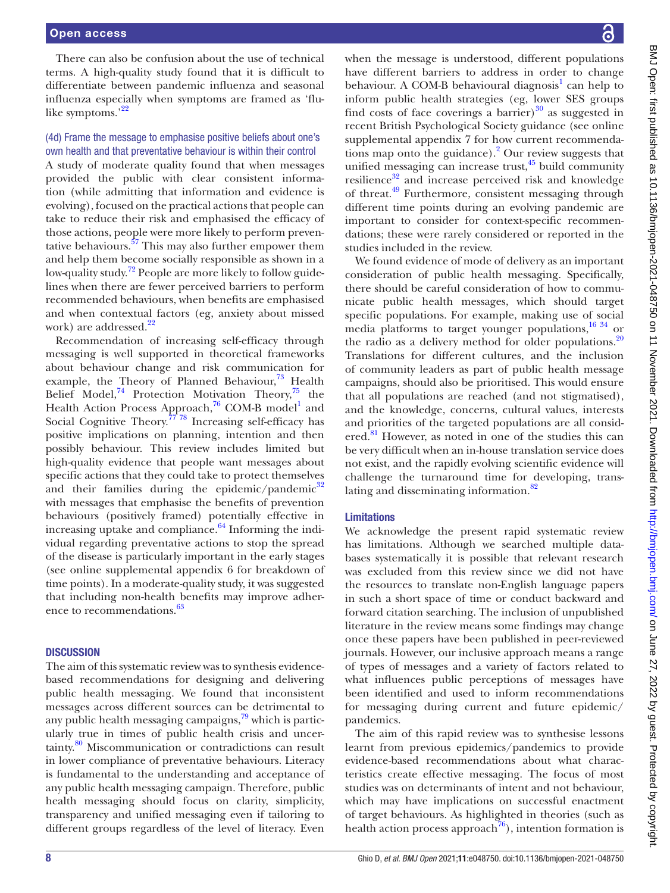There can also be confusion about the use of technical terms. A high-quality study found that it is difficult to differentiate between pandemic influenza and seasonal influenza especially when symptoms are framed as 'flu-like symptoms.'<sup>[22](#page-9-39)</sup>

# (4d) Frame the message to emphasise positive beliefs about one's own health and that preventative behaviour is within their control

A study of moderate quality found that when messages provided the public with clear consistent information (while admitting that information and evidence is evolving), focused on the practical actions that people can take to reduce their risk and emphasised the efficacy of those actions, people were more likely to perform preventative behaviours. $57$  This may also further empower them and help them become socially responsible as shown in a low-quality study.<sup>72</sup> People are more likely to follow guidelines when there are fewer perceived barriers to perform recommended behaviours, when benefits are emphasised and when contextual factors (eg, anxiety about missed work) are addressed.<sup>22</sup>

Recommendation of increasing self-efficacy through messaging is well supported in theoretical frameworks about behaviour change and risk communication for example, the Theory of Planned Behaviour, $^{73}$  Health Belief Model,<sup>74</sup> Protection Motivation Theory,<sup>75</sup> the Health Action Process Approach,<sup>76</sup> COM-B model<sup>1</sup> and Social Cognitive Theory.<sup> $77\overline{78}$ </sup> Increasing self-efficacy has positive implications on planning, intention and then possibly behaviour. This review includes limited but high-quality evidence that people want messages about specific actions that they could take to protect themselves and their families during the epidemic/pandemic $32$ with messages that emphasise the benefits of prevention behaviours (positively framed) potentially effective in increasing uptake and compliance. $64$  Informing the individual regarding preventative actions to stop the spread of the disease is particularly important in the early stages (see [online supplemental appendix 6](https://dx.doi.org/10.1136/bmjopen-2021-048750) for breakdown of time points). In a moderate-quality study, it was suggested that including non-health benefits may improve adher-ence to recommendations.<sup>[63](#page-10-9)</sup>

#### **DISCUSSION**

The aim of this systematic review was to synthesis evidencebased recommendations for designing and delivering public health messaging. We found that inconsistent messages across different sources can be detrimental to any public health messaging campaigns, $79$  which is particularly true in times of public health crisis and uncertainty.[80](#page-10-25) Miscommunication or contradictions can result in lower compliance of preventative behaviours. Literacy is fundamental to the understanding and acceptance of any public health messaging campaign. Therefore, public health messaging should focus on clarity, simplicity, transparency and unified messaging even if tailoring to different groups regardless of the level of literacy. Even

when the message is understood, different populations have different barriers to address in order to change behaviour. A COM-B behavioural diagnosis<sup>1</sup> can help to inform public health strategies (eg, lower SES groups find costs of face coverings a barrier) $30$  as suggested in recent British Psychological Society guidance (see [online](https://dx.doi.org/10.1136/bmjopen-2021-048750)  [supplemental appendix 7](https://dx.doi.org/10.1136/bmjopen-2021-048750) for how current recommendations map onto the guidance).<sup>2</sup> Our review suggests that unified messaging can increase trust, $45$  build community resilience<sup>[32](#page-9-26)</sup> and increase perceived risk and knowledge of threat[.49](#page-10-17) Furthermore, consistent messaging through different time points during an evolving pandemic are important to consider for context-specific recommendations; these were rarely considered or reported in the studies included in the review.

We found evidence of mode of delivery as an important consideration of public health messaging. Specifically, there should be careful consideration of how to communicate public health messages, which should target specific populations. For example, making use of social media platforms to target younger populations,<sup>[16 34](#page-9-15)</sup> or the radio as a delivery method for older populations. $20$ Translations for different cultures, and the inclusion of community leaders as part of public health message campaigns, should also be prioritised. This would ensure that all populations are reached (and not stigmatised), and the knowledge, concerns, cultural values, interests and priorities of the targeted populations are all consid-ered.<sup>[81](#page-10-26)</sup> However, as noted in one of the studies this can be very difficult when an in-house translation service does not exist, and the rapidly evolving scientific evidence will challenge the turnaround time for developing, translating and disseminating information.<sup>82</sup>

#### Limitations

We acknowledge the present rapid systematic review has limitations. Although we searched multiple databases systematically it is possible that relevant research was excluded from this review since we did not have the resources to translate non-English language papers in such a short space of time or conduct backward and forward citation searching. The inclusion of unpublished literature in the review means some findings may change once these papers have been published in peer-reviewed journals. However, our inclusive approach means a range of types of messages and a variety of factors related to what influences public perceptions of messages have been identified and used to inform recommendations for messaging during current and future epidemic/ pandemics.

The aim of this rapid review was to synthesise lessons learnt from previous epidemics/pandemics to provide evidence-based recommendations about what characteristics create effective messaging. The focus of most studies was on determinants of intent and not behaviour, which may have implications on successful enactment of target behaviours. As highlighted in theories (such as health action process approach<sup>76</sup>), intention formation is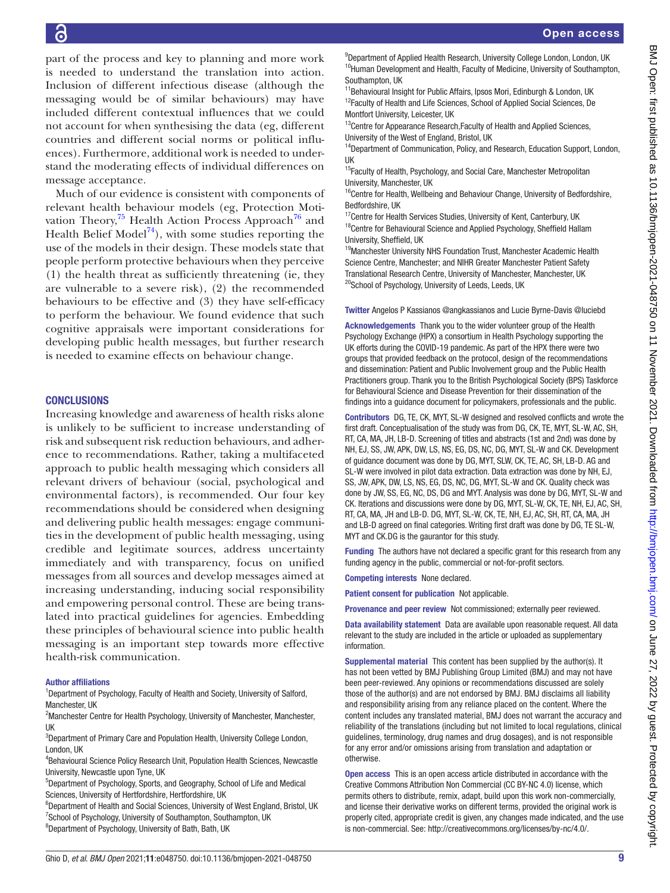part of the process and key to planning and more work is needed to understand the translation into action. Inclusion of different infectious disease (although the messaging would be of similar behaviours) may have included different contextual influences that we could not account for when synthesising the data (eg, different countries and different social norms or political influences). Furthermore, additional work is needed to understand the moderating effects of individual differences on message acceptance.

Much of our evidence is consistent with components of relevant health behaviour models (eg, Protection Motivation Theory, $^{75}$  $^{75}$  $^{75}$  Health Action Process Approach<sup>76</sup> and Health Belief Model<sup>[74](#page-10-20)</sup>), with some studies reporting the use of the models in their design. These models state that people perform protective behaviours when they perceive (1) the health threat as sufficiently threatening (ie, they are vulnerable to a severe risk), (2) the recommended behaviours to be effective and (3) they have self-efficacy to perform the behaviour. We found evidence that such cognitive appraisals were important considerations for developing public health messages, but further research is needed to examine effects on behaviour change.

#### **CONCLUSIONS**

Increasing knowledge and awareness of health risks alone is unlikely to be sufficient to increase understanding of risk and subsequent risk reduction behaviours, and adherence to recommendations. Rather, taking a multifaceted approach to public health messaging which considers all relevant drivers of behaviour (social, psychological and environmental factors), is recommended. Our four key recommendations should be considered when designing and delivering public health messages: engage communities in the development of public health messaging, using credible and legitimate sources, address uncertainty immediately and with transparency, focus on unified messages from all sources and develop messages aimed at increasing understanding, inducing social responsibility and empowering personal control. These are being translated into practical guidelines for agencies. Embedding these principles of behavioural science into public health messaging is an important step towards more effective health-risk communication.

#### Author affiliations

<sup>1</sup>Department of Psychology, Faculty of Health and Society, University of Salford, Manchester, UK

<sup>2</sup> Manchester Centre for Health Psychology, University of Manchester, Manchester, UK

<sup>3</sup>Department of Primary Care and Population Health, University College London, London, UK

4 Behavioural Science Policy Research Unit, Population Health Sciences, Newcastle University, Newcastle upon Tyne, UK

5 Department of Psychology, Sports, and Geography, School of Life and Medical Sciences, University of Hertfordshire, Hertfordshire, UK

<sup>6</sup>Department of Health and Social Sciences, University of West England, Bristol, UK <sup>7</sup>School of Psychology, University of Southampton, Southampton, UK <sup>8</sup>Department of Psychology, University of Bath, Bath, UK

<sup>9</sup>Department of Applied Health Research, University College London, London, UK <sup>10</sup>Human Development and Health, Faculty of Medicine, University of Southampton, Southampton, UK

<sup>11</sup>Behavioural Insight for Public Affairs, Ipsos Mori, Edinburgh & London, UK <sup>12</sup>Faculty of Health and Life Sciences, School of Applied Social Sciences, De Montfort University, Leicester, UK

<sup>13</sup>Centre for Appearance Research, Faculty of Health and Applied Sciences, University of the West of England, Bristol, UK

<sup>14</sup>Department of Communication, Policy, and Research, Education Support, London, UK

<sup>15</sup>Faculty of Health, Psychology, and Social Care, Manchester Metropolitan University, Manchester, UK

<sup>16</sup>Centre for Health, Wellbeing and Behaviour Change, University of Bedfordshire, Bedfordshire, UK

<sup>17</sup>Centre for Health Services Studies, University of Kent, Canterbury, UK  $18$ Centre for Behavioural Science and Applied Psychology, Sheffield Hallam University, Sheffield, UK

<sup>19</sup>Manchester University NHS Foundation Trust, Manchester Academic Health Science Centre, Manchester; and NIHR Greater Manchester Patient Safety Translational Research Centre, University of Manchester, Manchester, UK <sup>20</sup>School of Psychology, University of Leeds, Leeds, UK

Twitter Angelos P Kassianos [@angkassianos](https://twitter.com/angkassianos) and Lucie Byrne-Davis [@luciebd](https://twitter.com/luciebd)

Acknowledgements Thank you to the wider volunteer group of the Health Psychology Exchange (HPX) a consortium in Health Psychology supporting the UK efforts during the COVID-19 pandemic. As part of the HPX there were two groups that provided feedback on the protocol, design of the recommendations and dissemination: Patient and Public Involvement group and the Public Health Practitioners group. Thank you to the British Psychological Society (BPS) Taskforce for Behavioural Science and Disease Prevention for their dissemination of the findings into a guidance document for policymakers, professionals and the public.

Contributors DG, TE, CK, MYT, SL-W designed and resolved conflicts and wrote the first draft. Conceptualisation of the study was from DG, CK, TE, MYT, SL-W, AC, SH, RT, CA, MA, JH, LB-D. Screening of titles and abstracts (1st and 2nd) was done by NH, EJ, SS, JW, APK, DW, LS, NS, EG, DS, NC, DG, MYT, SL-W and CK. Development of guidance document was done by DG, MYT, SLW, CK, TE, AC, SH, LB-D. AG and SL-W were involved in pilot data extraction. Data extraction was done by NH, EJ, SS, JW, APK, DW, LS, NS, EG, DS, NC, DG, MYT, SL-W and CK. Quality check was done by JW, SS, EG, NC, DS, DG and MYT. Analysis was done by DG, MYT, SL-W and CK. Iterations and discussions were done by DG, MYT, SL-W, CK, TE, NH, EJ, AC, SH, RT, CA, MA, JH and LB-D. DG, MYT, SL-W, CK, TE, NH, EJ, AC, SH, RT, CA, MA, JH and LB-D agreed on final categories. Writing first draft was done by DG, TE SL-W, MYT and CK.DG is the gaurantor for this study.

Funding The authors have not declared a specific grant for this research from any funding agency in the public, commercial or not-for-profit sectors.

Competing interests None declared.

Patient consent for publication Not applicable.

Provenance and peer review Not commissioned; externally peer reviewed.

Data availability statement Data are available upon reasonable request. All data relevant to the study are included in the article or uploaded as supplementary information.

Supplemental material This content has been supplied by the author(s). It has not been vetted by BMJ Publishing Group Limited (BMJ) and may not have been peer-reviewed. Any opinions or recommendations discussed are solely those of the author(s) and are not endorsed by BMJ. BMJ disclaims all liability and responsibility arising from any reliance placed on the content. Where the content includes any translated material, BMJ does not warrant the accuracy and reliability of the translations (including but not limited to local regulations, clinical guidelines, terminology, drug names and drug dosages), and is not responsible for any error and/or omissions arising from translation and adaptation or otherwise.

Open access This is an open access article distributed in accordance with the Creative Commons Attribution Non Commercial (CC BY-NC 4.0) license, which permits others to distribute, remix, adapt, build upon this work non-commercially, and license their derivative works on different terms, provided the original work is properly cited, appropriate credit is given, any changes made indicated, and the use is non-commercial. See: [http://creativecommons.org/licenses/by-nc/4.0/.](http://creativecommons.org/licenses/by-nc/4.0/)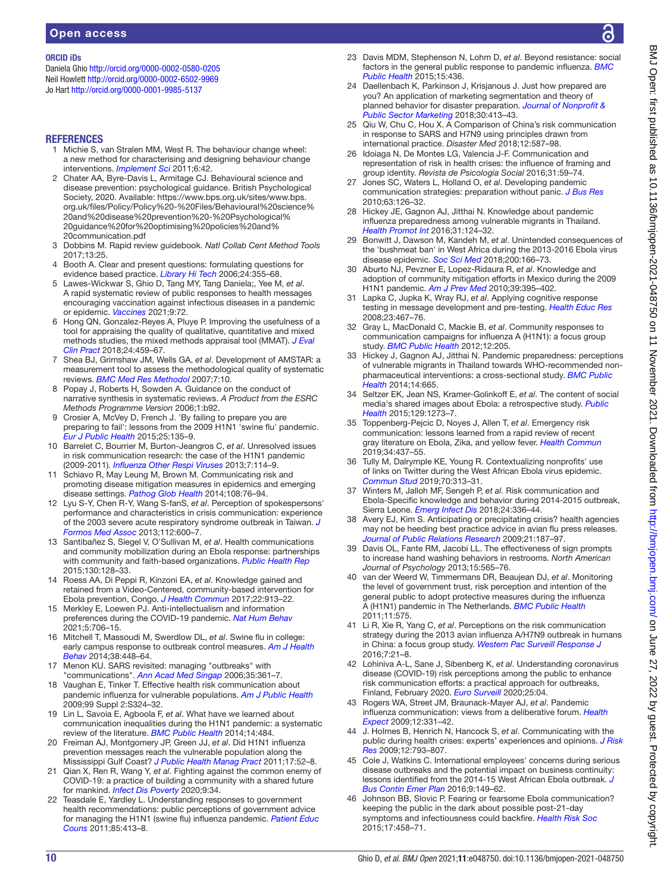#### ORCID iDs

Daniela Ghio <http://orcid.org/0000-0002-0580-0205> Neil Howlett<http://orcid.org/0000-0002-6502-9969> Jo Hart <http://orcid.org/0000-0001-9985-5137>

#### **REFERENCES**

- <span id="page-9-0"></span>1 Michie S, van Stralen MM, West R. The behaviour change wheel: a new method for characterising and designing behaviour change interventions. *[Implement Sci](http://dx.doi.org/10.1186/1748-5908-6-42)* 2011;6:42.
- <span id="page-9-1"></span>2 Chater AA, Byre-Davis L, Armitage CJ. Behavioural science and disease prevention: psychological guidance. British Psychological Society, 2020. Available: [https://www.bps.org.uk/sites/www.bps.](https://www.bps.org.uk/sites/www.bps.org.uk/files/Policy/Policy%20-%20Files/Behavioural%20science%20and%20disease%20prevention%20-%20Psychological%20guidance%20for%20optimising%20policies%20and%20communication.pdf) [org.uk/files/Policy/Policy%20-%20Files/Behavioural%20science%](https://www.bps.org.uk/sites/www.bps.org.uk/files/Policy/Policy%20-%20Files/Behavioural%20science%20and%20disease%20prevention%20-%20Psychological%20guidance%20for%20optimising%20policies%20and%20communication.pdf) [20and%20disease%20prevention%20-%20Psychological%](https://www.bps.org.uk/sites/www.bps.org.uk/files/Policy/Policy%20-%20Files/Behavioural%20science%20and%20disease%20prevention%20-%20Psychological%20guidance%20for%20optimising%20policies%20and%20communication.pdf) [20guidance%20for%20optimising%20policies%20and%](https://www.bps.org.uk/sites/www.bps.org.uk/files/Policy/Policy%20-%20Files/Behavioural%20science%20and%20disease%20prevention%20-%20Psychological%20guidance%20for%20optimising%20policies%20and%20communication.pdf) [20communication.pdf](https://www.bps.org.uk/sites/www.bps.org.uk/files/Policy/Policy%20-%20Files/Behavioural%20science%20and%20disease%20prevention%20-%20Psychological%20guidance%20for%20optimising%20policies%20and%20communication.pdf)
- <span id="page-9-2"></span>3 Dobbins M. Rapid review guidebook. *Natl Collab Cent Method Tools* 2017;13:25.
- <span id="page-9-3"></span>4 Booth A. Clear and present questions: formulating questions for evidence based practice. *[Library Hi Tech](http://dx.doi.org/10.1108/07378830610692127)* 2006;24:355–68.
- <span id="page-9-4"></span>5 Lawes-Wickwar S, Ghio D, Tang MY, Tang Daniela;, Yee M, *et al*. A rapid systematic review of public responses to health messages encouraging vaccination against infectious diseases in a pandemic or epidemic. *[Vaccines](http://dx.doi.org/10.3390/vaccines9020072)* 2021;9:72.
- <span id="page-9-5"></span>6 Hong QN, Gonzalez-Reyes A, Pluye P. Improving the usefulness of a tool for appraising the quality of qualitative, quantitative and mixed methods studies, the mixed methods appraisal tool (MMAT). *[J Eval](http://dx.doi.org/10.1111/jep.12884)  [Clin Pract](http://dx.doi.org/10.1111/jep.12884)* 2018;24:459–67.
- <span id="page-9-6"></span>7 Shea BJ, Grimshaw JM, Wells GA, *et al*. Development of AMSTAR: a measurement tool to assess the methodological quality of systematic reviews. *[BMC Med Res Methodol](http://dx.doi.org/10.1186/1471-2288-7-10)* 2007;7:10.
- <span id="page-9-7"></span>8 Popay J, Roberts H, Sowden A. Guidance on the conduct of narrative synthesis in systematic reviews. *A Product from the ESRC Methods Programme Version* 2006;1:b92.
- <span id="page-9-8"></span>9 Crosier A, McVey D, French J. 'By failing to prepare you are preparing to fail': lessons from the 2009 H1N1 'swine flu' pandemic. *[Eur J Public Health](http://dx.doi.org/10.1093/eurpub/cku131)* 2015;25:135–9.
- <span id="page-9-9"></span>10 Barrelet C, Bourrier M, Burton-Jeangros C, *et al*. Unresolved issues in risk communication research: the case of the H1N1 pandemic (2009-2011). *[Influenza Other Respi Viruses](http://dx.doi.org/10.1111/irv.12090)* 2013;7:114–9.
- <span id="page-9-10"></span>11 Schiavo R, May Leung M, Brown M. Communicating risk and promoting disease mitigation measures in epidemics and emerging disease settings. *[Pathog Glob Health](http://dx.doi.org/10.1179/2047773214Y.0000000127)* 2014;108:76–94.
- <span id="page-9-11"></span>12 Lyu S-Y, Chen R-Y, Wang S-fanS, *et al*. Perception of spokespersons' performance and characteristics in crisis communication: experience of the 2003 severe acute respiratory syndrome outbreak in Taiwan. *[J](http://dx.doi.org/10.1016/j.jfma.2012.12.005)  [Formos Med Assoc](http://dx.doi.org/10.1016/j.jfma.2012.12.005)* 2013;112:600–7.
- <span id="page-9-12"></span>13 Santibañez S, Siegel V, O'Sullivan M, *et al*. Health communications and community mobilization during an Ebola response: partnerships with community and faith-based organizations. *[Public Health Rep](http://dx.doi.org/10.1177/003335491513000205)* 2015;130:128–33.
- <span id="page-9-13"></span>14 Roess AA, Di Peppi R, Kinzoni EA, *et al*. Knowledge gained and retained from a Video-Centered, community-based intervention for Ebola prevention, Congo. *[J Health Commun](http://dx.doi.org/10.1080/10810730.2017.1377321)* 2017;22:913–22.
- <span id="page-9-14"></span>15 Merkley E, Loewen PJ. Anti-intellectualism and information preferences during the COVID-19 pandemic. *[Nat Hum Behav](https://doi.org/10.1038/s41562-021-01112-w)* 2021;5:706–15.
- <span id="page-9-15"></span>16 Mitchell T, Massoudi M, Swerdlow DL, *et al*. Swine flu in college: early campus response to outbreak control measures. *[Am J Health](http://dx.doi.org/10.5993/AJHB.38.3.14)  [Behav](http://dx.doi.org/10.5993/AJHB.38.3.14)* 2014;38:448–64.
- <span id="page-9-16"></span>17 Menon KU. SARS revisited: managing "outbreaks" with "communications". *[Ann Acad Med Singap](http://www.ncbi.nlm.nih.gov/pubmed/16830005)* 2006;35:361–7.
- 18 Vaughan E, Tinker T. Effective health risk communication about pandemic influenza for vulnerable populations. *[Am J Public Health](http://dx.doi.org/10.2105/AJPH.2009.162537)* 2009;99 Suppl 2:S324–32.
- <span id="page-9-17"></span>19 Lin L, Savoia E, Agboola F, *et al*. What have we learned about communication inequalities during the H1N1 pandemic: a systematic review of the literature. *[BMC Public Health](http://dx.doi.org/10.1186/1471-2458-14-484)* 2014;14:484.
- <span id="page-9-18"></span>20 Freiman AJ, Montgomery JP, Green JJ, *et al*. Did H1N1 influenza prevention messages reach the vulnerable population along the Mississippi Gulf Coast? *[J Public Health Manag Pract](http://dx.doi.org/10.1097/PHH.0b013e3181fb8002)* 2011;17:52–8.
- 21 Qian X, Ren R, Wang Y, *et al*. Fighting against the common enemy of COVID-19: a practice of building a community with a shared future for mankind. *[Infect Dis Poverty](http://dx.doi.org/10.1186/s40249-020-00650-1)* 2020;9:34.
- <span id="page-9-39"></span>22 Teasdale E, Yardley L. Understanding responses to government health recommendations: public perceptions of government advice for managing the H1N1 (swine flu) influenza pandemic. *[Patient Educ](http://dx.doi.org/10.1016/j.pec.2010.12.026)  [Couns](http://dx.doi.org/10.1016/j.pec.2010.12.026)* 2011;85:413–8.
- 23 Davis MDM, Stephenson N, Lohm D, *et al*. Beyond resistance: social factors in the general public response to pandemic influenza. *[BMC](http://dx.doi.org/10.1186/s12889-015-1756-8)  [Public Health](http://dx.doi.org/10.1186/s12889-015-1756-8)* 2015;15:436.
- <span id="page-9-19"></span>24 Daellenbach K, Parkinson J, Krisjanous J. Just how prepared are you? An application of marketing segmentation and theory of planned behavior for disaster preparation. *[Journal of Nonprofit &](http://dx.doi.org/10.1080/10495142.2018.1452830)  [Public Sector Marketing](http://dx.doi.org/10.1080/10495142.2018.1452830)* 2018;30:413–43.
- <span id="page-9-38"></span>25 Qiu W, Chu C, Hou X. A Comparison of China's risk communication in response to SARS and H7N9 using principles drawn from international practice. *Disaster Med* 2018;12:587–98.
- <span id="page-9-20"></span>26 Idoiaga N, De Montes LG, Valencia J-F. Communication and representation of risk in health crises: the influence of framing and group identity. *Revista de Psicologia Social* 2016;31:59–74.
- <span id="page-9-21"></span>27 Jones SC, Waters L, Holland O, *et al*. Developing pandemic communication strategies: preparation without panic. *[J Bus Res](http://dx.doi.org/10.1016/j.jbusres.2009.02.009)* 2010;63:126–32.
- <span id="page-9-22"></span>28 Hickey JE, Gagnon AJ, Jitthai N. Knowledge about pandemic influenza preparedness among vulnerable migrants in Thailand. *[Health Promot Int](http://dx.doi.org/10.1093/heapro/dau074)* 2016;31:124–32.
- <span id="page-9-23"></span>29 Bonwitt J, Dawson M, Kandeh M, *et al*. Unintended consequences of the 'bushmeat ban' in West Africa during the 2013-2016 Ebola virus disease epidemic. *[Soc Sci Med](http://dx.doi.org/10.1016/j.socscimed.2017.12.028)* 2018;200:166–73.
- <span id="page-9-24"></span>30 Aburto NJ, Pevzner E, Lopez-Ridaura R, *et al*. Knowledge and adoption of community mitigation efforts in Mexico during the 2009 H1N1 pandemic. *[Am J Prev Med](http://dx.doi.org/10.1016/j.amepre.2010.07.011)* 2010;39:395–402.
- <span id="page-9-25"></span>31 Lapka C, Jupka K, Wray RJ, *et al*. Applying cognitive response testing in message development and pre-testing. *[Health Educ Res](http://dx.doi.org/10.1093/her/cym089)* 2008;23:467–76.
- <span id="page-9-26"></span>32 Gray L, MacDonald C, Mackie B, *et al*. Community responses to communication campaigns for influenza A (H1N1): a focus group study. *[BMC Public Health](http://dx.doi.org/10.1186/1471-2458-12-205)* 2012;12:205.
- <span id="page-9-27"></span>33 Hickey J, Gagnon AJ, Jitthai N. Pandemic preparedness: perceptions of vulnerable migrants in Thailand towards WHO-recommended nonpharmaceutical interventions: a cross-sectional study. *[BMC Public](http://dx.doi.org/10.1186/1471-2458-14-665)  [Health](http://dx.doi.org/10.1186/1471-2458-14-665)* 2014;14:665.
- <span id="page-9-28"></span>34 Seltzer EK, Jean NS, Kramer-Golinkoff E, *et al*. The content of social media's shared images about Ebola: a retrospective study. *[Public](http://dx.doi.org/10.1016/j.puhe.2015.07.025)  [Health](http://dx.doi.org/10.1016/j.puhe.2015.07.025)* 2015;129:1273–7.
- <span id="page-9-40"></span>35 Toppenberg-Pejcic D, Noyes J, Allen T, *et al*. Emergency risk communication: lessons learned from a rapid review of recent gray literature on Ebola, Zika, and yellow fever. *[Health Commun](http://dx.doi.org/10.1080/10410236.2017.1405488)* 2019;34:437–55.
- <span id="page-9-29"></span>36 Tully M, Dalrymple KE, Young R. Contextualizing nonprofits' use of links on Twitter during the West African Ebola virus epidemic. *[Commun Stud](http://dx.doi.org/10.1080/10510974.2018.1539021)* 2019;70:313–31.
- <span id="page-9-30"></span>37 Winters M, Jalloh MF, Sengeh P, *et al*. Risk communication and Ebola-Specific knowledge and behavior during 2014-2015 outbreak, Sierra Leone. *[Emerg Infect Dis](http://dx.doi.org/10.3201/eid2402.171028)* 2018;24:336–44.
- <span id="page-9-31"></span>38 Avery EJ, Kim S. Anticipating or precipitating crisis? health agencies may not be heeding best practice advice in avian flu press releases. *[Journal of Public Relations Research](http://dx.doi.org/10.1080/10627260802557449)* 2009;21:187–97.
- <span id="page-9-32"></span>39 Davis OL, Fante RM, Jacobi LL. The effectiveness of sign prompts to increase hand washing behaviors in restrooms. *North American Journal of Psychology* 2013;15:565–76.
- <span id="page-9-33"></span>40 van der Weerd W, Timmermans DR, Beaujean DJ, *et al*. Monitoring the level of government trust, risk perception and intention of the general public to adopt protective measures during the influenza A (H1N1) pandemic in The Netherlands. *[BMC Public Health](http://dx.doi.org/10.1186/1471-2458-11-575)* 2011;11:575.
- <span id="page-9-34"></span>41 Li R, Xie R, Yang C, *et al*. Perceptions on the risk communication strategy during the 2013 avian influenza A/H7N9 outbreak in humans in China: a focus group study. *[Western Pac Surveill Response J](http://dx.doi.org/10.5365/wpsar.2016.7.1.005)* 2016;7:21–8.
- <span id="page-9-35"></span>42 Lohiniva A-L, Sane J, Sibenberg K, *et al*. Understanding coronavirus disease (COVID-19) risk perceptions among the public to enhance risk communication efforts: a practical approach for outbreaks, Finland, February 2020. *[Euro Surveill](http://dx.doi.org/10.2807/1560-7917.ES.2020.25.13.2000317)* 2020;25:04.
- 43 Rogers WA, Street JM, Braunack-Mayer AJ, *et al*. Pandemic influenza communication: views from a deliberative forum. *[Health](http://dx.doi.org/10.1111/j.1369-7625.2009.00562.x)  [Expect](http://dx.doi.org/10.1111/j.1369-7625.2009.00562.x)* 2009;12:331–42.
- <span id="page-9-36"></span>44 J. Holmes B, Henrich N, Hancock S, *et al*. Communicating with the public during health crises: experts' experiences and opinions. *[J Risk](http://dx.doi.org/10.1080/13669870802648486)  [Res](http://dx.doi.org/10.1080/13669870802648486)* 2009;12:793–807.
- <span id="page-9-37"></span>45 Cole J, Watkins C. International employees' concerns during serious disease outbreaks and the potential impact on business continuity: lessons identified from the 2014-15 West African Ebola outbreak. *[J](http://www.ncbi.nlm.nih.gov/pubmed/26642172)  [Bus Contin Emer Plan](http://www.ncbi.nlm.nih.gov/pubmed/26642172)* 2016;9:149–62.
- 46 Johnson BB, Slovic P. Fearing or fearsome Ebola communication? keeping the public in the dark about possible post-21-day symptoms and infectiousness could backfire. *[Health Risk Soc](http://dx.doi.org/10.1080/13698575.2015.1113237)* 2015;17:458–71.